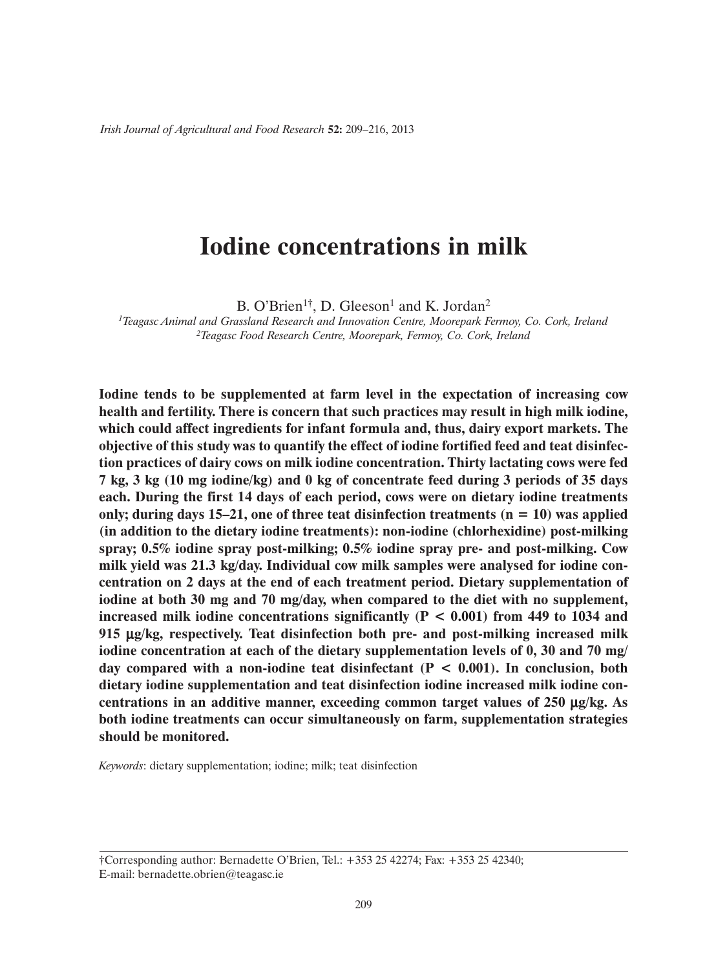# **Iodine concentrations in milk**

B. O'Brien<sup>1†</sup>, D. Gleeson<sup>1</sup> and K. Jordan<sup>2</sup>

*1Teagasc Animal and Grassland Research and Innovation Centre, Moorepark Fermoy, Co. Cork, Ireland 2Teagasc Food Research Centre, Moorepark, Fermoy, Co. Cork, Ireland*

**Iodine tends to be supplemented at farm level in the expectation of increasing cow health and fertility. There is concern that such practices may result in high milk iodine, which could affect ingredients for infant formula and, thus, dairy export markets. The objective of this study was to quantify the effect of iodine fortified feed and teat disinfection practices of dairy cows on milk iodine concentration. Thirty lactating cows were fed 7 kg, 3 kg (10 mg iodine/kg) and 0 kg of concentrate feed during 3 periods of 35 days each. During the first 14 days of each period, cows were on dietary iodine treatments**  only; during days 15–21, one of three teat disinfection treatments  $(n = 10)$  was applied **(in addition to the dietary iodine treatments): non-iodine (chlorhexidine) post-milking spray; 0.5% iodine spray post-milking; 0.5% iodine spray pre- and post-milking. Cow milk yield was 21.3 kg/day. Individual cow milk samples were analysed for iodine concentration on 2 days at the end of each treatment period. Dietary supplementation of iodine at both 30 mg and 70 mg/day, when compared to the diet with no supplement, increased milk iodine concentrations significantly (P < 0.001) from 449 to 1034 and 915** µ**g/kg, respectively. Teat disinfection both pre- and post-milking increased milk iodine concentration at each of the dietary supplementation levels of 0, 30 and 70 mg/ day compared with a non-iodine teat disinfectant (P < 0.001). In conclusion, both dietary iodine supplementation and teat disinfection iodine increased milk iodine concentrations in an additive manner, exceeding common target values of 250**  $\mu$ **g/kg. As both iodine treatments can occur simultaneously on farm, supplementation strategies should be monitored.**

*Keywords*: dietary supplementation; iodine; milk; teat disinfection

†Corresponding author: Bernadette O'Brien, Tel.: +353 25 42274; Fax: +353 25 42340; E-mail: bernadette.obrien@teagasc.ie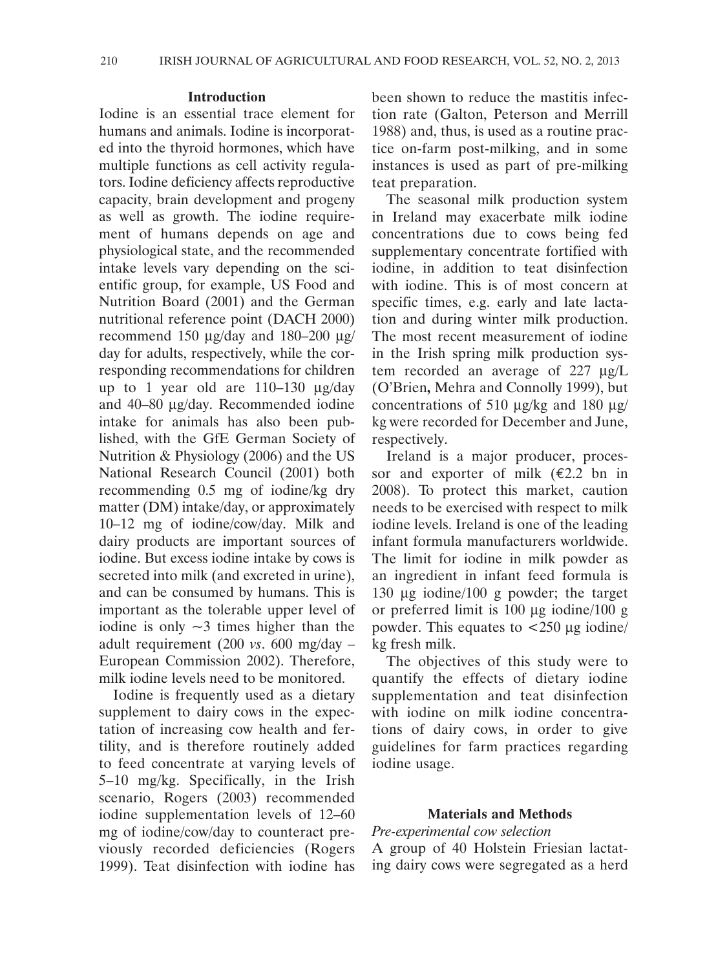## **Introduction**

Iodine is an essential trace element for humans and animals. Iodine is incorporated into the thyroid hormones, which have multiple functions as cell activity regulators. Iodine deficiency affects reproductive capacity, brain development and progeny as well as growth. The iodine requirement of humans depends on age and physiological state, and the recommended intake levels vary depending on the scientific group, for example, US Food and Nutrition Board (2001) and the German nutritional reference point (DACH 2000) recommend 150  $\mu$ g/day and 180–200  $\mu$ g/ day for adults, respectively, while the corresponding recommendations for children up to 1 year old are 110–130 µg/day and 40–80 µg/day. Recommended iodine intake for animals has also been published, with the GfE German Society of Nutrition & Physiology (2006) and the US National Research Council (2001) both recommending 0.5 mg of iodine/kg dry matter (DM) intake/day, or approximately 10–12 mg of iodine/cow/day. Milk and dairy products are important sources of iodine. But excess iodine intake by cows is secreted into milk (and excreted in urine), and can be consumed by humans. This is important as the tolerable upper level of iodine is only  $\sim$ 3 times higher than the adult requirement (200 *vs*. 600 mg/day – European Commission 2002). Therefore, milk iodine levels need to be monitored.

Iodine is frequently used as a dietary supplement to dairy cows in the expectation of increasing cow health and fertility, and is therefore routinely added to feed concentrate at varying levels of 5–10 mg/kg. Specifically, in the Irish scenario, Rogers (2003) recommended iodine supplementation levels of 12–60 mg of iodine/cow/day to counteract previously recorded deficiencies (Rogers 1999). Teat disinfection with iodine has been shown to reduce the mastitis infection rate (Galton, Peterson and Merrill 1988) and, thus, is used as a routine practice on-farm post-milking, and in some instances is used as part of pre-milking teat preparation.

The seasonal milk production system in Ireland may exacerbate milk iodine concentrations due to cows being fed supplementary concentrate fortified with iodine, in addition to teat disinfection with iodine. This is of most concern at specific times, e.g. early and late lactation and during winter milk production. The most recent measurement of iodine in the Irish spring milk production system recorded an average of 227 µg/L (O'Brien**,** Mehra and Connolly 1999), but concentrations of 510  $\mu$ g/kg and 180  $\mu$ g/ kg were recorded for December and June, respectively.

Ireland is a major producer, processor and exporter of milk  $(\epsilon 2.2 \text{ bn in})$ 2008). To protect this market, caution needs to be exercised with respect to milk iodine levels. Ireland is one of the leading infant formula manufacturers worldwide. The limit for iodine in milk powder as an ingredient in infant feed formula is 130 µg iodine/100 g powder; the target or preferred limit is 100 µg iodine/100 g powder. This equates to  $\lt$  250 µg iodine/ kg fresh milk.

The objectives of this study were to quantify the effects of dietary iodine supplementation and teat disinfection with iodine on milk iodine concentrations of dairy cows, in order to give guidelines for farm practices regarding iodine usage.

#### **Materials and Methods**

#### *Pre-experimental cow selection*

A group of 40 Holstein Friesian lactating dairy cows were segregated as a herd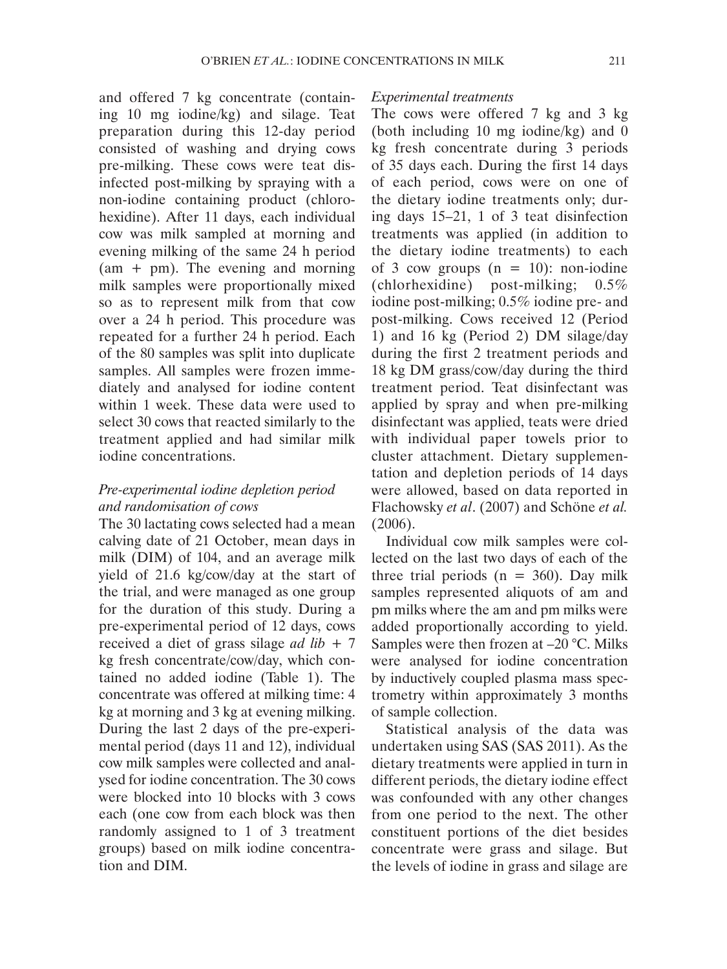and offered 7 kg concentrate (containing 10 mg iodine/kg) and silage. Teat preparation during this 12-day period consisted of washing and drying cows pre-milking. These cows were teat disinfected post-milking by spraying with a non-iodine containing product (chlorohexidine). After 11 days, each individual cow was milk sampled at morning and evening milking of the same 24 h period  $(am + pm)$ . The evening and morning milk samples were proportionally mixed so as to represent milk from that cow over a 24 h period. This procedure was repeated for a further 24 h period. Each of the 80 samples was split into duplicate samples. All samples were frozen immediately and analysed for iodine content within 1 week. These data were used to select 30 cows that reacted similarly to the treatment applied and had similar milk iodine concentrations.

## *Pre-experimental iodine depletion period and randomisation of cows*

The 30 lactating cows selected had a mean calving date of 21 October, mean days in milk (DIM) of 104, and an average milk yield of 21.6 kg/cow/day at the start of the trial, and were managed as one group for the duration of this study. During a pre-experimental period of 12 days, cows received a diet of grass silage *ad lib* + 7 kg fresh concentrate/cow/day, which contained no added iodine (Table 1). The concentrate was offered at milking time: 4 kg at morning and 3 kg at evening milking. During the last 2 days of the pre-experimental period (days 11 and 12), individual cow milk samples were collected and analysed for iodine concentration. The 30 cows were blocked into 10 blocks with 3 cows each (one cow from each block was then randomly assigned to 1 of 3 treatment groups) based on milk iodine concentration and DIM.

## *Experimental treatments*

The cows were offered 7 kg and 3 kg (both including 10 mg iodine/kg) and 0 kg fresh concentrate during 3 periods of 35 days each. During the first 14 days of each period, cows were on one of the dietary iodine treatments only; during days 15–21, 1 of 3 teat disinfection treatments was applied (in addition to the dietary iodine treatments) to each of 3 cow groups  $(n = 10)$ : non-iodine (chlorhexidine) post-milking; 0.5% iodine post-milking; 0.5% iodine pre- and post-milking. Cows received 12 (Period 1) and 16 kg (Period 2) DM silage/day during the first 2 treatment periods and 18 kg DM grass/cow/day during the third treatment period. Teat disinfectant was applied by spray and when pre-milking disinfectant was applied, teats were dried with individual paper towels prior to cluster attachment. Dietary supplementation and depletion periods of 14 days were allowed, based on data reported in Flachowsky *et al*. (2007) and Schöne *et al.* (2006).

Individual cow milk samples were collected on the last two days of each of the three trial periods ( $n = 360$ ). Day milk samples represented aliquots of am and pm milks where the am and pm milks were added proportionally according to yield. Samples were then frozen at –20 °C. Milks were analysed for iodine concentration by inductively coupled plasma mass spectrometry within approximately 3 months of sample collection.

Statistical analysis of the data was undertaken using SAS (SAS 2011). As the dietary treatments were applied in turn in different periods, the dietary iodine effect was confounded with any other changes from one period to the next. The other constituent portions of the diet besides concentrate were grass and silage. But the levels of iodine in grass and silage are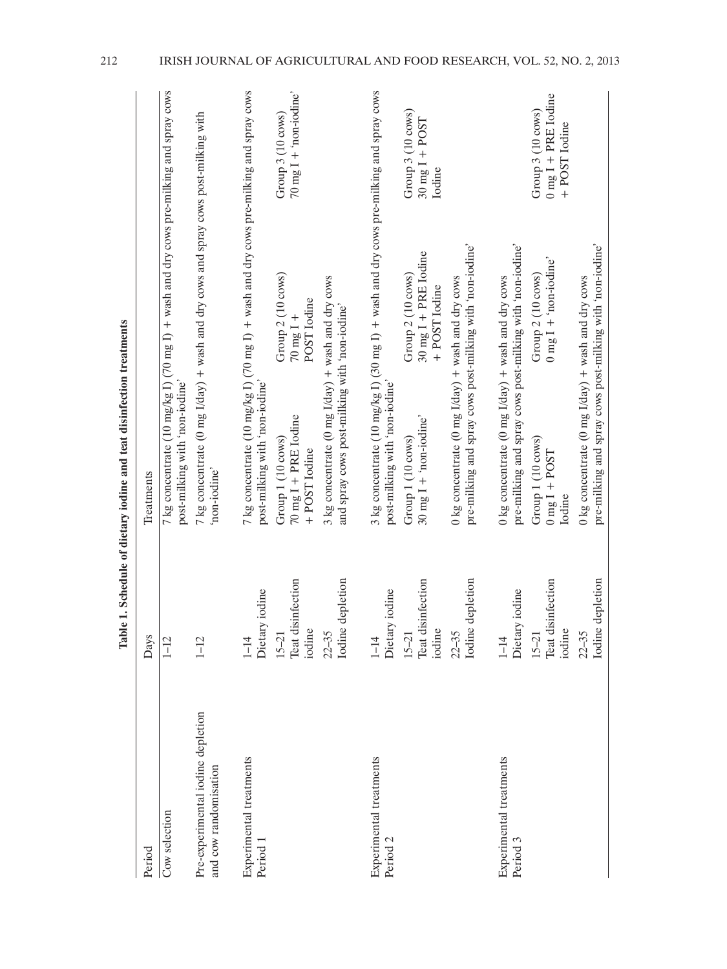|                                                            |                                          | THE PLACE OF PLACE CALLEN COMPANY AND THE PLACE CALLEN COMPANY OF PLACE OF PLACE OF PLACE OF PLACE OF PLACE OF |                                                                                         |                                                                |
|------------------------------------------------------------|------------------------------------------|----------------------------------------------------------------------------------------------------------------|-----------------------------------------------------------------------------------------|----------------------------------------------------------------|
| Period                                                     | Days                                     | Treatments                                                                                                     |                                                                                         |                                                                |
| Cow selection                                              | $1 - 12$                                 | post-milking with 'non-iodine'                                                                                 | 7 kg concentrate (10 mg/kg I) (70 mg I) + wash and dry cows pre-milking and spray cows  |                                                                |
| Pre-experimental iodine depletion<br>and cow randomisation | $1 - 12$                                 | 'non-iodine'                                                                                                   | $7$ kg concentrate (0 mg $1$ /day) + wash and dry cows and spray cows post-milking with |                                                                |
| Experimental treatments<br>Period 1                        | Dietary iodine<br>$1 - 14$               | post-milking with 'non-iodine'                                                                                 | 7 kg concentrate (10 mg/kg I) (70 mg I) + wash and dry cows pre-milking and spray cows  |                                                                |
|                                                            | Teat disinfection<br>iodine<br>$15 - 21$ | 70 mg I + PRE Iodine<br>Group 1 (10 cows)<br>+ POST Iodine                                                     | Group 2 (10 cows)<br>POST Iodine<br>$70$ mg I +                                         | $70 \text{ mg}$ I + 'non-iodine'<br>Group 3 (10 cows)          |
|                                                            | Iodine depletion<br>$22 - 35$            | 3 kg concentrate (0 mg $I/day$ ) + wash and dry cows<br>and spray cows post-milking with 'non-iodine'          |                                                                                         |                                                                |
| Experimental treatments<br>Period <sub>2</sub>             | Dietary iodine<br>$1 - 14$               | 'oniboi-non' thiw gnixllim-tooq                                                                                | 3 kg concentrate (10 mg/kg I) (30 mg I) + wash and dry cows pre-milking and spray cows  |                                                                |
|                                                            | Teat disinfection<br>iodine<br>$15 - 21$ | $30 \text{ mg}$ + $1 \text{ gm}$ + $1 \text{ gm}$<br>Group 1 (10 cows)                                         | $30 \text{ mg I} + \text{PRE}$ Iodine<br>Group 2 (10 cows)<br>+ POST Iodine             | Group 3 (10 cows)<br>$30 \text{ mg I} + \text{POST}$<br>Iodine |
|                                                            | Iodine depletion<br>$22 - 35$            | 0 kg concentrate (0 mg $I/day$ ) + wash and dry cows                                                           | pre-milking and spray cows post-milking with 'non-iodine'                               |                                                                |
| Experimental treatments<br>Period 3                        | Dietary iodine<br>$1 - 14$               | 0 kg concentrate (0 mg I/day) + wash and dry cows                                                              | pre-milking and spray cows post-milking with 'non-iodine'                               |                                                                |
|                                                            | Teat disinfection<br>iodine<br>$15 - 21$ | Group 1 (10 cows)<br>$0 \text{ mg} 1 + \text{POST}$<br>Iodine                                                  | $0 \text{ mg} 1 + \text{non-iodine}$<br>Group 2 (10 cows)                               | $0$ mg I + PRE Iodine<br>Group 3 (10 cows)<br>+ POST Iodine    |
|                                                            | Iodine depletion<br>$22 - 35$            | 0 kg concentrate (0 mg $I/day$ ) + wash and dry cows                                                           | pre-milking and spray cows post-milking with 'non-iodine'                               |                                                                |

Table 1. Schedule of dietary iodine and teat disinfection treatments **Table 1. Schedule of dietary iodine and teat disinfection treatments**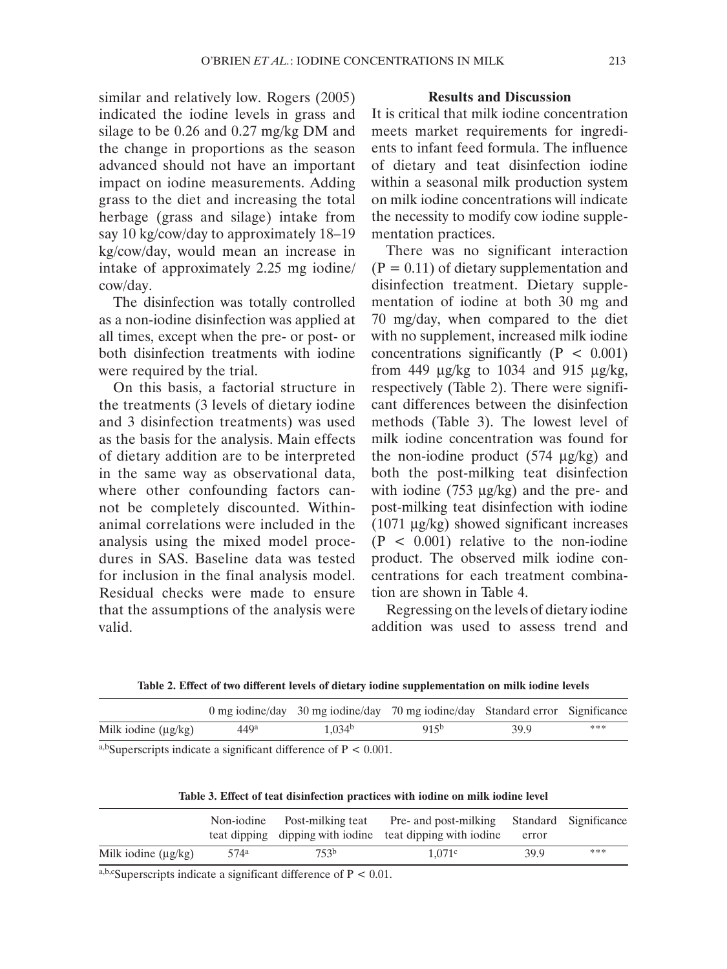similar and relatively low. Rogers (2005) indicated the iodine levels in grass and silage to be 0.26 and 0.27 mg/kg DM and the change in proportions as the season advanced should not have an important impact on iodine measurements. Adding grass to the diet and increasing the total herbage (grass and silage) intake from say 10 kg/cow/day to approximately 18–19 kg/cow/day, would mean an increase in intake of approximately 2.25 mg iodine/ cow/day.

The disinfection was totally controlled as a non-iodine disinfection was applied at all times, except when the pre- or post- or both disinfection treatments with iodine were required by the trial.

On this basis, a factorial structure in the treatments (3 levels of dietary iodine and 3 disinfection treatments) was used as the basis for the analysis. Main effects of dietary addition are to be interpreted in the same way as observational data, where other confounding factors cannot be completely discounted. Withinanimal correlations were included in the analysis using the mixed model procedures in SAS. Baseline data was tested for inclusion in the final analysis model. Residual checks were made to ensure that the assumptions of the analysis were valid.

## **Results and Discussion**

It is critical that milk iodine concentration meets market requirements for ingredients to infant feed formula. The influence of dietary and teat disinfection iodine within a seasonal milk production system on milk iodine concentrations will indicate the necessity to modify cow iodine supplementation practices.

There was no significant interaction  $(P = 0.11)$  of dietary supplementation and disinfection treatment. Dietary supplementation of iodine at both 30 mg and 70 mg/day, when compared to the diet with no supplement, increased milk iodine concentrations significantly  $(P < 0.001)$ from 449 µg/kg to 1034 and 915 µg/kg, respectively (Table 2). There were significant differences between the disinfection methods (Table 3). The lowest level of milk iodine concentration was found for the non-iodine product (574 µg/kg) and both the post-milking teat disinfection with iodine (753  $\mu$ g/kg) and the pre- and post-milking teat disinfection with iodine (1071 µg/kg) showed significant increases  $(P < 0.001)$  relative to the non-iodine product. The observed milk iodine concentrations for each treatment combination are shown in Table 4.

Regressing on the levels of dietary iodine addition was used to assess trend and

**Table 2. Effect of two different levels of dietary iodine supplementation on milk iodine levels**

|                          |      |                    | 0 mg iodine/day 30 mg iodine/day 70 mg iodine/day Standard error Significance |      |     |
|--------------------------|------|--------------------|-------------------------------------------------------------------------------|------|-----|
| Milk iodine $(\mu g/kg)$ | 449a | 1.034 <sup>b</sup> | 915 <sup>b</sup>                                                              | 39.9 | *** |
|                          |      |                    |                                                                               |      |     |

a,bSuperscripts indicate a significant difference of  $P < 0.001$ .

|  | Table 3. Effect of teat disinfection practices with iodine on milk iodine level |
|--|---------------------------------------------------------------------------------|
|--|---------------------------------------------------------------------------------|

|                          |                  |                  | Non-iodine Post-milking teat Pre- and post-milking Standard Significance<br>teat dipping dipping with iodine teat dipping with iodine | error |     |
|--------------------------|------------------|------------------|---------------------------------------------------------------------------------------------------------------------------------------|-------|-----|
| Milk iodine $(\mu g/kg)$ | 574 <sup>a</sup> | 753 <sup>b</sup> | 1.071c                                                                                                                                | 39.9  | *** |

a,b,cSuperscripts indicate a significant difference of  $P < 0.01$ .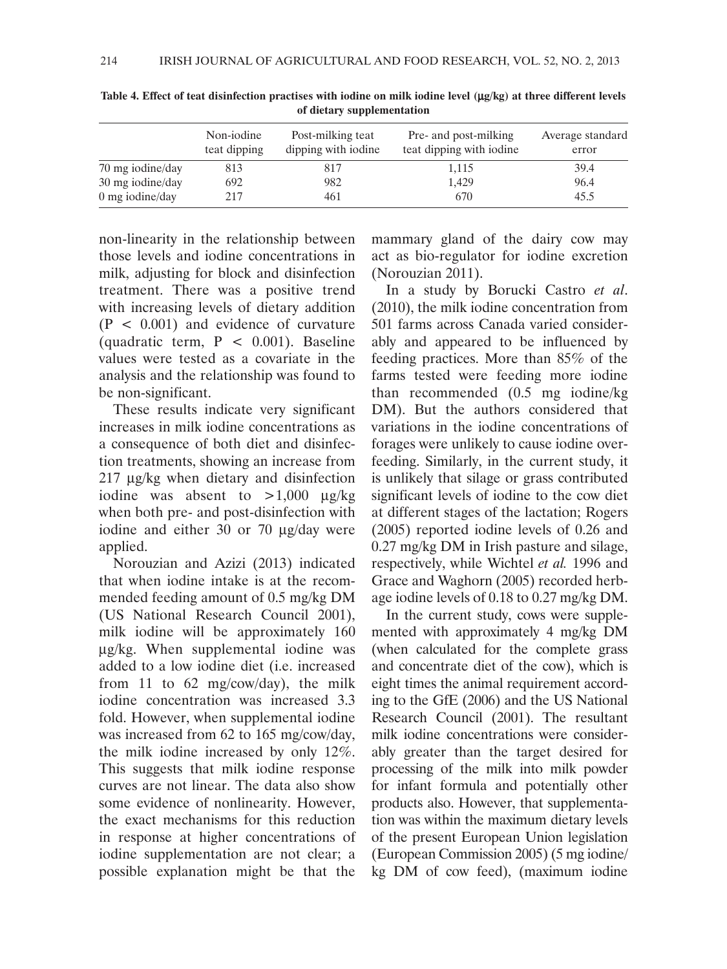|                   | Non-iodine<br>teat dipping | Post-milking teat<br>dipping with iodine | Pre- and post-milking<br>teat dipping with iodine | Average standard<br>error |
|-------------------|----------------------------|------------------------------------------|---------------------------------------------------|---------------------------|
| 70 mg iodine/day  | 813                        | 817                                      | 1,115                                             | 39.4                      |
| 30 mg iodine/day  | 692                        | 982                                      | 1.429                                             | 96.4                      |
| $0$ mg iodine/day | 217                        | 461                                      | 670                                               | 45.5                      |

**Table 4. Effect of teat disinfection practises with iodine on milk iodine level (**µ**g/kg) at three different levels of dietary supplementation**

non-linearity in the relationship between those levels and iodine concentrations in milk, adjusting for block and disinfection treatment. There was a positive trend with increasing levels of dietary addition  $(P < 0.001)$  and evidence of curvature (quadratic term,  $P \leq 0.001$ ). Baseline values were tested as a covariate in the analysis and the relationship was found to be non-significant.

These results indicate very significant increases in milk iodine concentrations as a consequence of both diet and disinfection treatments, showing an increase from 217 µg/kg when dietary and disinfection iodine was absent to  $>1,000 \mu$ g/kg when both pre- and post-disinfection with iodine and either 30 or 70 µg/day were applied.

Norouzian and Azizi (2013) indicated that when iodine intake is at the recommended feeding amount of 0.5 mg/kg DM (US National Research Council 2001), milk iodine will be approximately 160 µg/kg. When supplemental iodine was added to a low iodine diet (i.e. increased from 11 to 62 mg/cow/day), the milk iodine concentration was increased 3.3 fold. However, when supplemental iodine was increased from 62 to 165 mg/cow/day, the milk iodine increased by only 12%. This suggests that milk iodine response curves are not linear. The data also show some evidence of nonlinearity. However, the exact mechanisms for this reduction in response at higher concentrations of iodine supplementation are not clear; a possible explanation might be that the mammary gland of the dairy cow may act as bio-regulator for iodine excretion (Norouzian 2011).

In a study by Borucki Castro *et al*. (2010), the milk iodine concentration from 501 farms across Canada varied considerably and appeared to be influenced by feeding practices. More than 85% of the farms tested were feeding more iodine than recommended (0.5 mg iodine/kg DM). But the authors considered that variations in the iodine concentrations of forages were unlikely to cause iodine overfeeding. Similarly, in the current study, it is unlikely that silage or grass contributed significant levels of iodine to the cow diet at different stages of the lactation; Rogers (2005) reported iodine levels of 0.26 and 0.27 mg/kg DM in Irish pasture and silage, respectively, while Wichtel *et al.* 1996 and Grace and Waghorn (2005) recorded herbage iodine levels of 0.18 to 0.27 mg/kg DM.

In the current study, cows were supplemented with approximately 4 mg/kg DM (when calculated for the complete grass and concentrate diet of the cow), which is eight times the animal requirement according to the GfE (2006) and the US National Research Council (2001). The resultant milk iodine concentrations were considerably greater than the target desired for processing of the milk into milk powder for infant formula and potentially other products also. However, that supplementation was within the maximum dietary levels of the present European Union legislation (European Commission 2005) (5 mg iodine/ kg DM of cow feed), (maximum iodine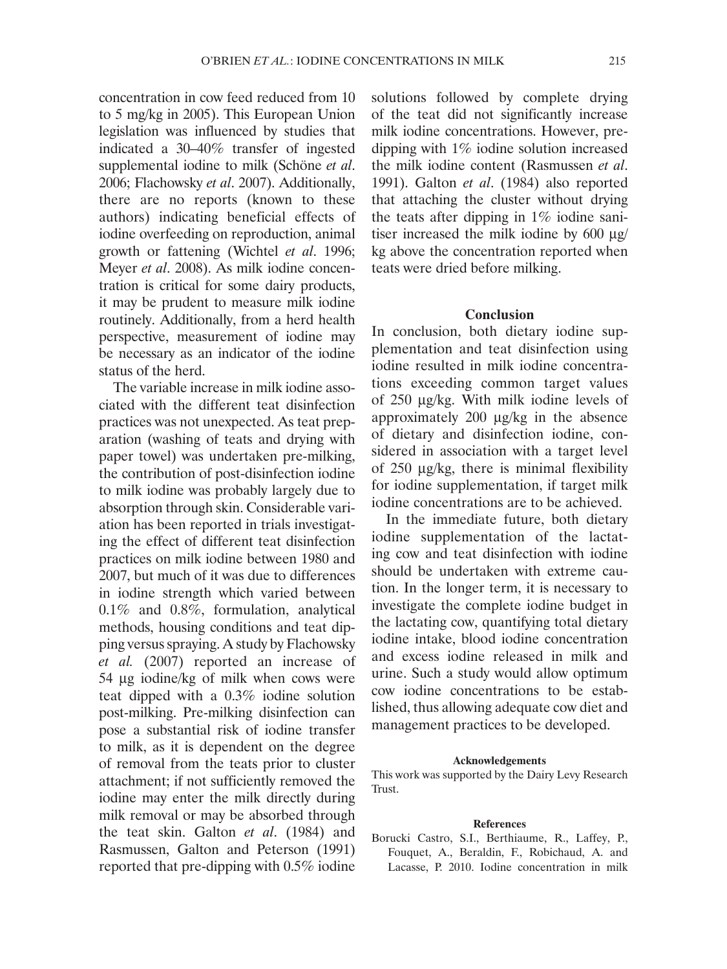concentration in cow feed reduced from 10 to 5 mg/kg in 2005). This European Union legislation was influenced by studies that indicated a 30–40% transfer of ingested supplemental iodine to milk (Schöne *et al*. 2006; Flachowsky *et al*. 2007). Additionally, there are no reports (known to these authors) indicating beneficial effects of iodine overfeeding on reproduction, animal growth or fattening (Wichtel *et al*. 1996; Meyer *et al*. 2008). As milk iodine concentration is critical for some dairy products, it may be prudent to measure milk iodine routinely. Additionally, from a herd health perspective, measurement of iodine may be necessary as an indicator of the iodine status of the herd.

The variable increase in milk iodine associated with the different teat disinfection practices was not unexpected. As teat preparation (washing of teats and drying with paper towel) was undertaken pre-milking, the contribution of post-disinfection iodine to milk iodine was probably largely due to absorption through skin. Considerable variation has been reported in trials investigating the effect of different teat disinfection practices on milk iodine between 1980 and 2007, but much of it was due to differences in iodine strength which varied between 0.1% and 0.8%, formulation, analytical methods, housing conditions and teat dipping versus spraying. A study by Flachowsky *et al.* (2007) reported an increase of 54 µg iodine/kg of milk when cows were teat dipped with a 0.3% iodine solution post-milking. Pre-milking disinfection can pose a substantial risk of iodine transfer to milk, as it is dependent on the degree of removal from the teats prior to cluster attachment; if not sufficiently removed the iodine may enter the milk directly during milk removal or may be absorbed through the teat skin. Galton *et al*. (1984) and Rasmussen, Galton and Peterson (1991) reported that pre-dipping with 0.5% iodine solutions followed by complete drying of the teat did not significantly increase milk iodine concentrations. However, predipping with 1% iodine solution increased the milk iodine content (Rasmussen *et al*. 1991). Galton *et al*. (1984) also reported that attaching the cluster without drying the teats after dipping in 1% iodine sanitiser increased the milk iodine by 600 µg/ kg above the concentration reported when teats were dried before milking.

## **Conclusion**

In conclusion, both dietary iodine supplementation and teat disinfection using iodine resulted in milk iodine concentrations exceeding common target values of 250 µg/kg. With milk iodine levels of approximately 200 µg/kg in the absence of dietary and disinfection iodine, considered in association with a target level of 250 µg/kg, there is minimal flexibility for iodine supplementation, if target milk iodine concentrations are to be achieved.

In the immediate future, both dietary iodine supplementation of the lactating cow and teat disinfection with iodine should be undertaken with extreme caution. In the longer term, it is necessary to investigate the complete iodine budget in the lactating cow, quantifying total dietary iodine intake, blood iodine concentration and excess iodine released in milk and urine. Such a study would allow optimum cow iodine concentrations to be established, thus allowing adequate cow diet and management practices to be developed.

### **Acknowledgements**

This work was supported by the Dairy Levy Research Trust.

#### **References**

Borucki Castro, S.I., Berthiaume, R., Laffey, P., Fouquet, A., Beraldin, F., Robichaud, A. and Lacasse, P. 2010. Iodine concentration in milk